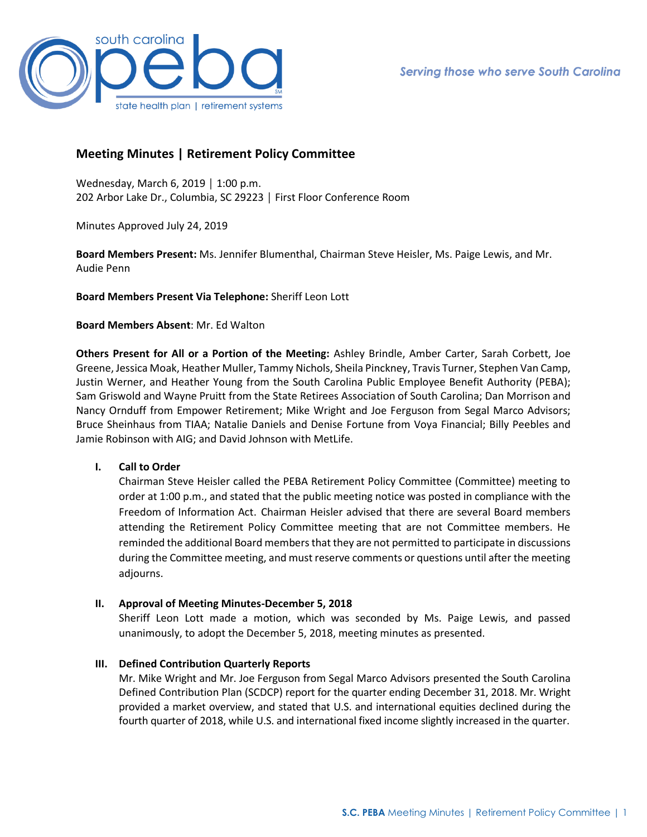

# **Meeting Minutes | Retirement Policy Committee**

Wednesday, March 6, 2019 │ 1:00 p.m. 202 Arbor Lake Dr., Columbia, SC 29223 │ First Floor Conference Room

Minutes Approved July 24, 2019

**Board Members Present:** Ms. Jennifer Blumenthal, Chairman Steve Heisler, Ms. Paige Lewis, and Mr. Audie Penn

**Board Members Present Via Telephone:** Sheriff Leon Lott

#### **Board Members Absent**: Mr. Ed Walton

**Others Present for All or a Portion of the Meeting:** Ashley Brindle, Amber Carter, Sarah Corbett, Joe Greene, Jessica Moak, Heather Muller, Tammy Nichols, Sheila Pinckney, Travis Turner, Stephen Van Camp, Justin Werner, and Heather Young from the South Carolina Public Employee Benefit Authority (PEBA); Sam Griswold and Wayne Pruitt from the State Retirees Association of South Carolina; Dan Morrison and Nancy Ornduff from Empower Retirement; Mike Wright and Joe Ferguson from Segal Marco Advisors; Bruce Sheinhaus from TIAA; Natalie Daniels and Denise Fortune from Voya Financial; Billy Peebles and Jamie Robinson with AIG; and David Johnson with MetLife.

## **I. Call to Order**

Chairman Steve Heisler called the PEBA Retirement Policy Committee (Committee) meeting to order at 1:00 p.m., and stated that the public meeting notice was posted in compliance with the Freedom of Information Act. Chairman Heisler advised that there are several Board members attending the Retirement Policy Committee meeting that are not Committee members. He reminded the additional Board members that they are not permitted to participate in discussions during the Committee meeting, and must reserve comments or questions until after the meeting adjourns.

## **II. Approval of Meeting Minutes-December 5, 2018**

Sheriff Leon Lott made a motion, which was seconded by Ms. Paige Lewis, and passed unanimously, to adopt the December 5, 2018, meeting minutes as presented.

## **III. Defined Contribution Quarterly Reports**

Mr. Mike Wright and Mr. Joe Ferguson from Segal Marco Advisors presented the South Carolina Defined Contribution Plan (SCDCP) report for the quarter ending December 31, 2018. Mr. Wright provided a market overview, and stated that U.S. and international equities declined during the fourth quarter of 2018, while U.S. and international fixed income slightly increased in the quarter.